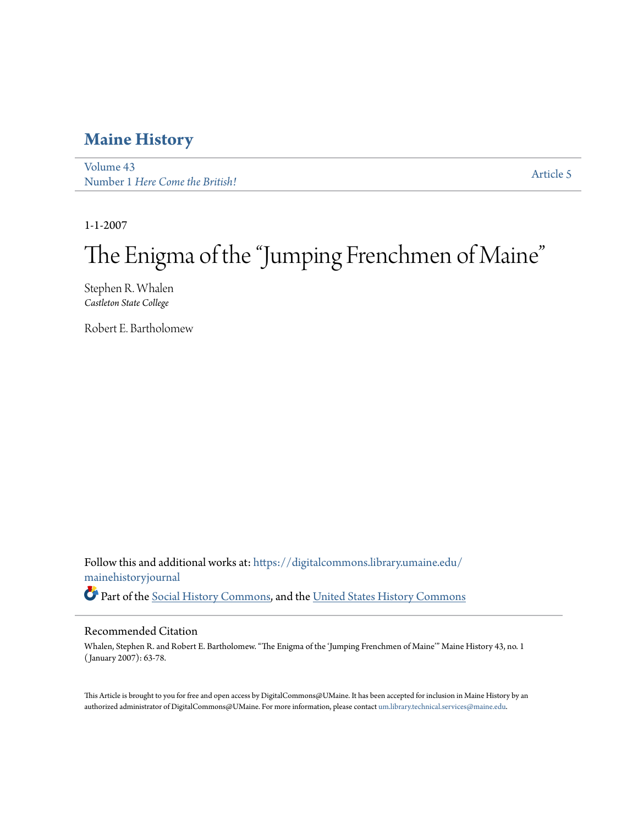### **[Maine History](https://digitalcommons.library.umaine.edu/mainehistoryjournal?utm_source=digitalcommons.library.umaine.edu%2Fmainehistoryjournal%2Fvol43%2Fiss1%2F5&utm_medium=PDF&utm_campaign=PDFCoverPages)**

[Volume 43](https://digitalcommons.library.umaine.edu/mainehistoryjournal/vol43?utm_source=digitalcommons.library.umaine.edu%2Fmainehistoryjournal%2Fvol43%2Fiss1%2F5&utm_medium=PDF&utm_campaign=PDFCoverPages) volume 45<br>Number 1 *[Here Come the British!](https://digitalcommons.library.umaine.edu/mainehistoryjournal/vol43/iss1?utm_source=digitalcommons.library.umaine.edu%2Fmainehistoryjournal%2Fvol43%2Fiss1%2F5&utm_medium=PDF&utm_campaign=PDFCoverPages)* [Article 5](https://digitalcommons.library.umaine.edu/mainehistoryjournal/vol43/iss1/5?utm_source=digitalcommons.library.umaine.edu%2Fmainehistoryjournal%2Fvol43%2Fiss1%2F5&utm_medium=PDF&utm_campaign=PDFCoverPages)

1-1-2007

# The Enigma of the "Jumping Frenchmen of Maine"

Stephen R. Whalen *Castleton State College*

Robert E. Bartholomew

Follow this and additional works at: [https://digitalcommons.library.umaine.edu/](https://digitalcommons.library.umaine.edu/mainehistoryjournal?utm_source=digitalcommons.library.umaine.edu%2Fmainehistoryjournal%2Fvol43%2Fiss1%2F5&utm_medium=PDF&utm_campaign=PDFCoverPages) [mainehistoryjournal](https://digitalcommons.library.umaine.edu/mainehistoryjournal?utm_source=digitalcommons.library.umaine.edu%2Fmainehistoryjournal%2Fvol43%2Fiss1%2F5&utm_medium=PDF&utm_campaign=PDFCoverPages) Part of the [Social History Commons,](http://network.bepress.com/hgg/discipline/506?utm_source=digitalcommons.library.umaine.edu%2Fmainehistoryjournal%2Fvol43%2Fiss1%2F5&utm_medium=PDF&utm_campaign=PDFCoverPages) and the [United States History Commons](http://network.bepress.com/hgg/discipline/495?utm_source=digitalcommons.library.umaine.edu%2Fmainehistoryjournal%2Fvol43%2Fiss1%2F5&utm_medium=PDF&utm_campaign=PDFCoverPages)

#### Recommended Citation

Whalen, Stephen R. and Robert E. Bartholomew. "The Enigma of the 'Jumping Frenchmen of Maine'" Maine History 43, no. 1 ( January 2007): 63-78.

This Article is brought to you for free and open access by DigitalCommons@UMaine. It has been accepted for inclusion in Maine History by an authorized administrator of DigitalCommons@UMaine. For more information, please contact [um.library.technical.services@maine.edu.](mailto:um.library.technical.services@maine.edu)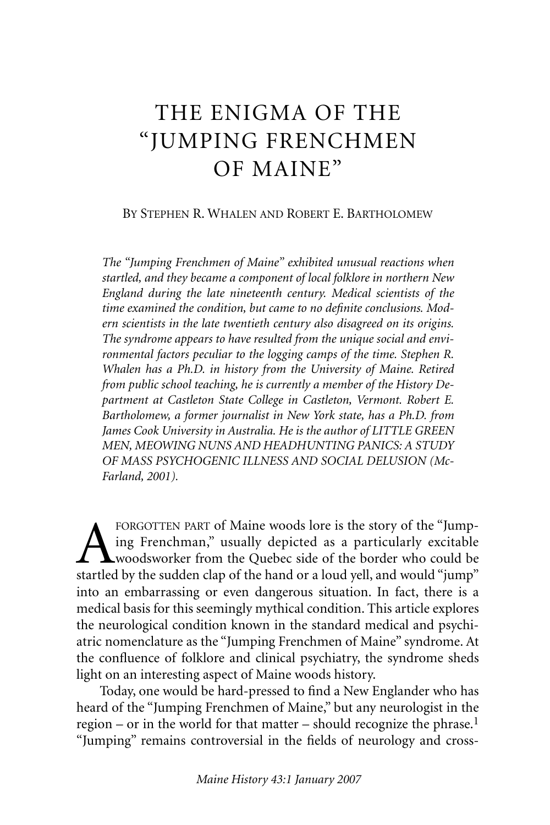## THE ENIGMA OF THE "JUMPING FRENCHMEN OF MAINE"

#### BY STEPHEN R. WHALEN AND ROBERT E. BARTHOLOMEW

*The "Jumping Frenchmen of Maine" exhibited unusual reactions when startled, and they became a component of local folklore in northern New England during the late nineteenth century. Medical scientists of the time examined the condition, but came to no definite conclusions. Modern scientists in the late twentieth century also disagreed on its origins. The syndrome appears to have resulted from the unique social and environmental factors peculiar to the logging camps of the time. Stephen R. Whalen has a Ph.D. in history from the University of Maine. Retired from public school teaching, he is currently a member of the History Department at Castleton State College in Castleton, Vermont. Robert E. Bartholomew, a former journalist in New York state, has a Ph.D. from James Cook University in Australia. He is the author of LITTLE GREEN MEN, MEOWING NUNS AND HEADHUNTING PANICS: A STUDY OF MASS PSYCHOGENIC ILLNESS AND SOCIAL DELUSION (Mc-Farland, 2001).*

FORGOTTEN PART of Maine woods lore is the story of the "Jumping Frenchman," usually depicted as a particularly excitable woodsworker from the Quebec side of the border who could be startled by the sudden clap of the hand or a loud yell, and would "jump" into an embarrassing or even dangerous situation. In fact, there is a medical basis for this seemingly mythical condition. This article explores the neurological condition known in the standard medical and psychiatric nomenclature as the "Jumping Frenchmen of Maine" syndrome. At the confluence of folklore and clinical psychiatry, the syndrome sheds light on an interesting aspect of Maine woods history.

Today, one would be hard-pressed to find a New Englander who has heard of the "Jumping Frenchmen of Maine," but any neurologist in the region – or in the world for that matter – should recognize the phrase.<sup>1</sup> "Jumping" remains controversial in the fields of neurology and cross-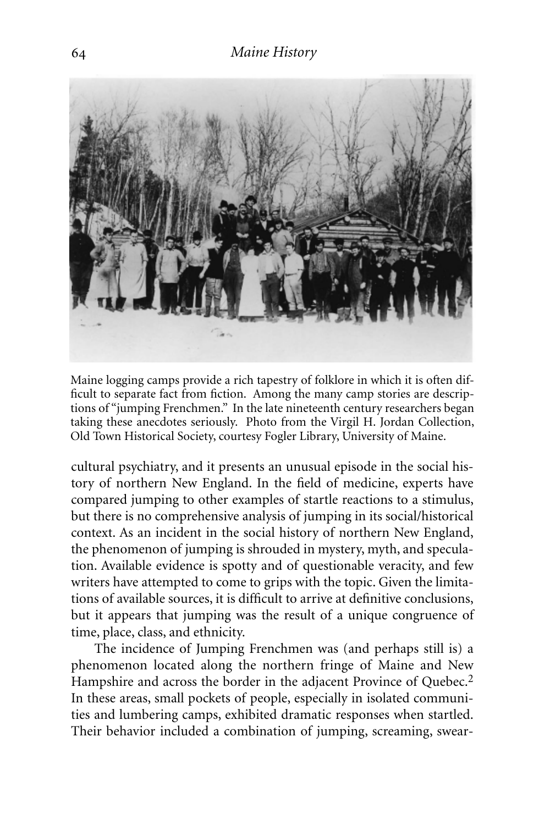

Maine logging camps provide a rich tapestry of folklore in which it is often difficult to separate fact from fiction. Among the many camp stories are descriptions of "jumping Frenchmen." In the late nineteenth century researchers began taking these anecdotes seriously. Photo from the Virgil H. Jordan Collection, Old Town Historical Society, courtesy Fogler Library, University of Maine.

cultural psychiatry, and it presents an unusual episode in the social history of northern New England. In the field of medicine, experts have compared jumping to other examples of startle reactions to a stimulus, but there is no comprehensive analysis of jumping in its social/historical context. As an incident in the social history of northern New England, the phenomenon of jumping is shrouded in mystery, myth, and speculation. Available evidence is spotty and of questionable veracity, and few writers have attempted to come to grips with the topic. Given the limitations of available sources, it is difficult to arrive at definitive conclusions, but it appears that jumping was the result of a unique congruence of time, place, class, and ethnicity.

The incidence of Jumping Frenchmen was (and perhaps still is) a phenomenon located along the northern fringe of Maine and New Hampshire and across the border in the adjacent Province of Quebec.<sup>2</sup> In these areas, small pockets of people, especially in isolated communities and lumbering camps, exhibited dramatic responses when startled. Their behavior included a combination of jumping, screaming, swear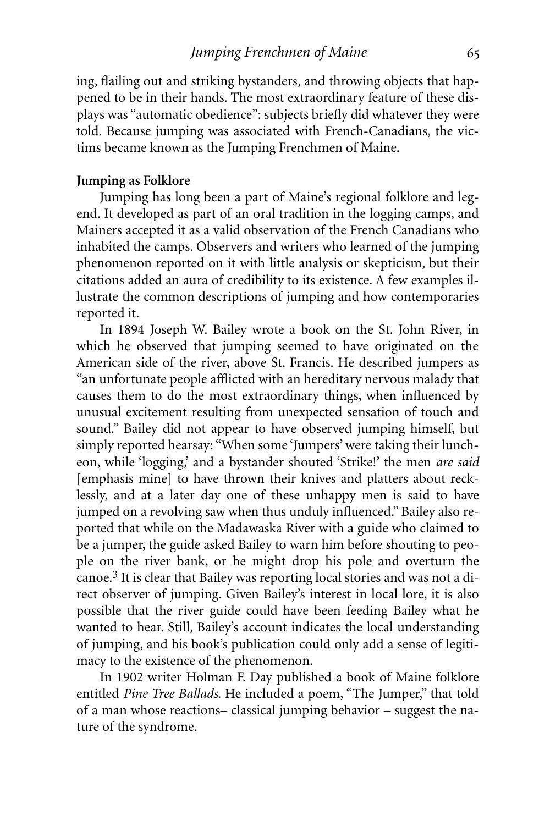ing, flailing out and striking bystanders, and throwing objects that happened to be in their hands. The most extraordinary feature of these displays was "automatic obedience": subjects briefly did whatever they were told. Because jumping was associated with French-Canadians, the victims became known as the Jumping Frenchmen of Maine.

#### **Jumping as Folklore**

Jumping has long been a part of Maine's regional folklore and legend. It developed as part of an oral tradition in the logging camps, and Mainers accepted it as a valid observation of the French Canadians who inhabited the camps. Observers and writers who learned of the jumping phenomenon reported on it with little analysis or skepticism, but their citations added an aura of credibility to its existence. A few examples illustrate the common descriptions of jumping and how contemporaries reported it.

In 1894 Joseph W. Bailey wrote a book on the St. John River, in which he observed that jumping seemed to have originated on the American side of the river, above St. Francis. He described jumpers as "an unfortunate people afflicted with an hereditary nervous malady that causes them to do the most extraordinary things, when influenced by unusual excitement resulting from unexpected sensation of touch and sound." Bailey did not appear to have observed jumping himself, but simply reported hearsay: "When some 'Jumpers' were taking their luncheon, while 'logging,' and a bystander shouted 'Strike!' the men *are said* [emphasis mine] to have thrown their knives and platters about recklessly, and at a later day one of these unhappy men is said to have jumped on a revolving saw when thus unduly influenced." Bailey also reported that while on the Madawaska River with a guide who claimed to be a jumper, the guide asked Bailey to warn him before shouting to people on the river bank, or he might drop his pole and overturn the canoe.3 It is clear that Bailey was reporting local stories and was not a direct observer of jumping. Given Bailey's interest in local lore, it is also possible that the river guide could have been feeding Bailey what he wanted to hear. Still, Bailey's account indicates the local understanding of jumping, and his book's publication could only add a sense of legitimacy to the existence of the phenomenon.

In 1902 writer Holman F. Day published a book of Maine folklore entitled *Pine Tree Ballads*. He included a poem, "The Jumper," that told of a man whose reactions– classical jumping behavior – suggest the nature of the syndrome.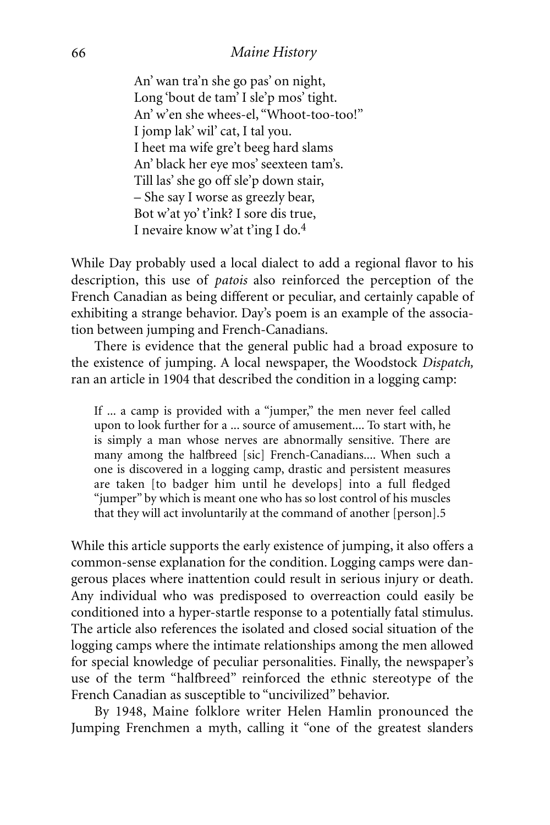#### *Maine History*

An' wan tra'n she go pas' on night, Long 'bout de tam' I sle'p mos' tight. An' w'en she whees-el, "Whoot-too-too!" I jomp lak' wil' cat, I tal you. I heet ma wife gre't beeg hard slams An' black her eye mos' seexteen tam's. Till las' she go off sle'p down stair, – She say I worse as greezly bear, Bot w'at yo' t'ink? I sore dis true, I nevaire know w'at t'ing I do.4

While Day probably used a local dialect to add a regional flavor to his description, this use of *patois* also reinforced the perception of the French Canadian as being different or peculiar, and certainly capable of exhibiting a strange behavior. Day's poem is an example of the association between jumping and French-Canadians.

There is evidence that the general public had a broad exposure to the existence of jumping. A local newspaper, the Woodstock *Dispatch,* ran an article in 1904 that described the condition in a logging camp:

If ... a camp is provided with a "jumper," the men never feel called upon to look further for a ... source of amusement.... To start with, he is simply a man whose nerves are abnormally sensitive. There are many among the halfbreed [sic] French-Canadians.... When such a one is discovered in a logging camp, drastic and persistent measures are taken [to badger him until he develops] into a full fledged "jumper" by which is meant one who has so lost control of his muscles that they will act involuntarily at the command of another [person].5

While this article supports the early existence of jumping, it also offers a common-sense explanation for the condition. Logging camps were dangerous places where inattention could result in serious injury or death. Any individual who was predisposed to overreaction could easily be conditioned into a hyper-startle response to a potentially fatal stimulus. The article also references the isolated and closed social situation of the logging camps where the intimate relationships among the men allowed for special knowledge of peculiar personalities. Finally, the newspaper's use of the term "halfbreed" reinforced the ethnic stereotype of the French Canadian as susceptible to "uncivilized" behavior.

By 1948, Maine folklore writer Helen Hamlin pronounced the Jumping Frenchmen a myth, calling it "one of the greatest slanders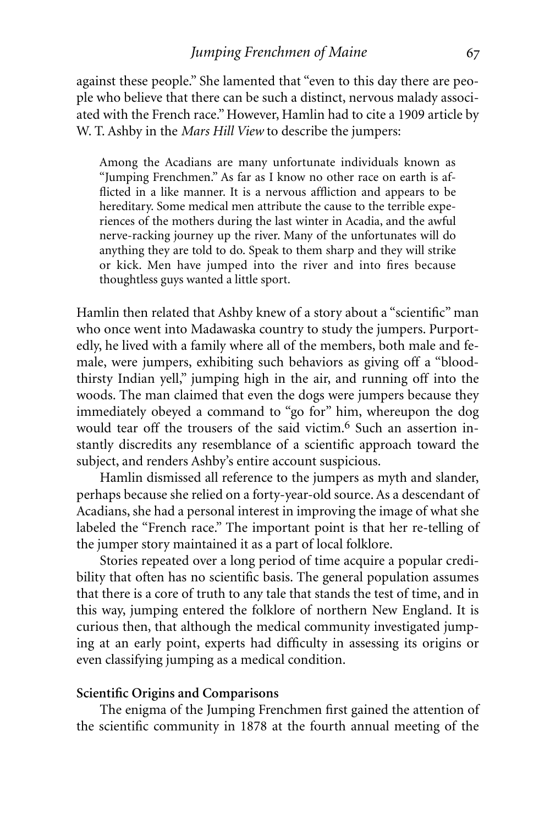against these people." She lamented that "even to this day there are people who believe that there can be such a distinct, nervous malady associated with the French race." However, Hamlin had to cite a 1909 article by W. T. Ashby in the *Mars Hill View* to describe the jumpers:

Among the Acadians are many unfortunate individuals known as "Jumping Frenchmen." As far as I know no other race on earth is afflicted in a like manner. It is a nervous affliction and appears to be hereditary. Some medical men attribute the cause to the terrible experiences of the mothers during the last winter in Acadia, and the awful nerve-racking journey up the river. Many of the unfortunates will do anything they are told to do. Speak to them sharp and they will strike or kick. Men have jumped into the river and into fires because thoughtless guys wanted a little sport.

Hamlin then related that Ashby knew of a story about a "scientific" man who once went into Madawaska country to study the jumpers. Purportedly, he lived with a family where all of the members, both male and female, were jumpers, exhibiting such behaviors as giving off a "bloodthirsty Indian yell," jumping high in the air, and running off into the woods. The man claimed that even the dogs were jumpers because they immediately obeyed a command to "go for" him, whereupon the dog would tear off the trousers of the said victim.6 Such an assertion instantly discredits any resemblance of a scientific approach toward the subject, and renders Ashby's entire account suspicious.

Hamlin dismissed all reference to the jumpers as myth and slander, perhaps because she relied on a forty-year-old source. As a descendant of Acadians, she had a personal interest in improving the image of what she labeled the "French race." The important point is that her re-telling of the jumper story maintained it as a part of local folklore.

Stories repeated over a long period of time acquire a popular credibility that often has no scientific basis. The general population assumes that there is a core of truth to any tale that stands the test of time, and in this way, jumping entered the folklore of northern New England. It is curious then, that although the medical community investigated jumping at an early point, experts had difficulty in assessing its origins or even classifying jumping as a medical condition.

#### **Scientific Origins and Comparisons**

The enigma of the Jumping Frenchmen first gained the attention of the scientific community in 1878 at the fourth annual meeting of the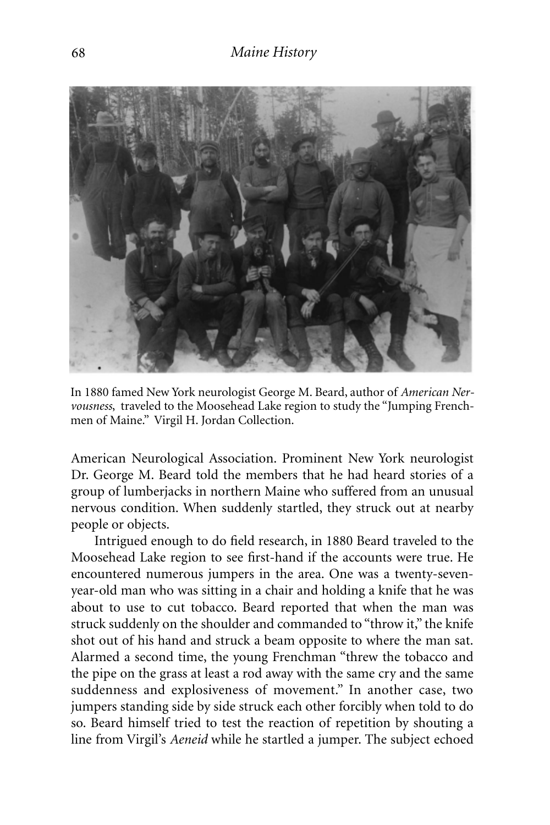

In 1880 famed New York neurologist George M. Beard, author of *American Nervousness*, traveled to the Moosehead Lake region to study the "Jumping Frenchmen of Maine." Virgil H. Jordan Collection.

American Neurological Association. Prominent New York neurologist Dr. George M. Beard told the members that he had heard stories of a group of lumberjacks in northern Maine who suffered from an unusual nervous condition. When suddenly startled, they struck out at nearby people or objects.

Intrigued enough to do field research, in 1880 Beard traveled to the Moosehead Lake region to see first-hand if the accounts were true. He encountered numerous jumpers in the area. One was a twenty-sevenyear-old man who was sitting in a chair and holding a knife that he was about to use to cut tobacco. Beard reported that when the man was struck suddenly on the shoulder and commanded to "throw it," the knife shot out of his hand and struck a beam opposite to where the man sat. Alarmed a second time, the young Frenchman "threw the tobacco and the pipe on the grass at least a rod away with the same cry and the same suddenness and explosiveness of movement." In another case, two jumpers standing side by side struck each other forcibly when told to do so. Beard himself tried to test the reaction of repetition by shouting a line from Virgil's *Aeneid* while he startled a jumper. The subject echoed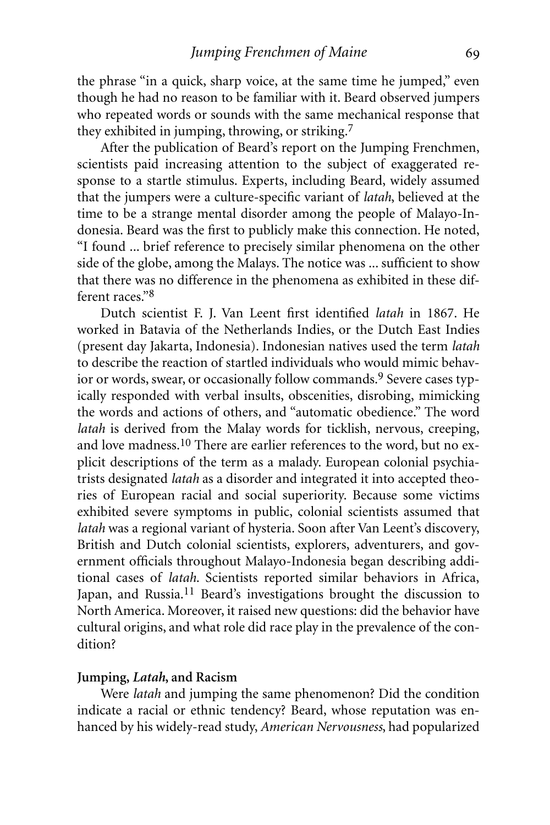the phrase "in a quick, sharp voice, at the same time he jumped," even though he had no reason to be familiar with it. Beard observed jumpers who repeated words or sounds with the same mechanical response that they exhibited in jumping, throwing, or striking.7

After the publication of Beard's report on the Jumping Frenchmen, scientists paid increasing attention to the subject of exaggerated response to a startle stimulus. Experts, including Beard, widely assumed that the jumpers were a culture-specific variant of *latah*, believed at the time to be a strange mental disorder among the people of Malayo-Indonesia. Beard was the first to publicly make this connection. He noted, "I found ... brief reference to precisely similar phenomena on the other side of the globe, among the Malays. The notice was ... sufficient to show that there was no difference in the phenomena as exhibited in these different races."8

Dutch scientist F. J. Van Leent first identified *latah* in 1867. He worked in Batavia of the Netherlands Indies, or the Dutch East Indies (present day Jakarta, Indonesia). Indonesian natives used the term *latah* to describe the reaction of startled individuals who would mimic behavior or words, swear, or occasionally follow commands.<sup>9</sup> Severe cases typically responded with verbal insults, obscenities, disrobing, mimicking the words and actions of others, and "automatic obedience." The word *latah* is derived from the Malay words for ticklish, nervous, creeping, and love madness.<sup>10</sup> There are earlier references to the word, but no explicit descriptions of the term as a malady. European colonial psychiatrists designated *latah* as a disorder and integrated it into accepted theories of European racial and social superiority. Because some victims exhibited severe symptoms in public, colonial scientists assumed that *latah* was a regional variant of hysteria. Soon after Van Leent's discovery, British and Dutch colonial scientists, explorers, adventurers, and government officials throughout Malayo-Indonesia began describing additional cases of *latah*. Scientists reported similar behaviors in Africa, Japan, and Russia.<sup>11</sup> Beard's investigations brought the discussion to North America. Moreover, it raised new questions: did the behavior have cultural origins, and what role did race play in the prevalence of the condition?

#### **Jumping,** *Latah***, and Racism**

Were *latah* and jumping the same phenomenon? Did the condition indicate a racial or ethnic tendency? Beard, whose reputation was enhanced by his widely-read study, *American Nervousness*, had popularized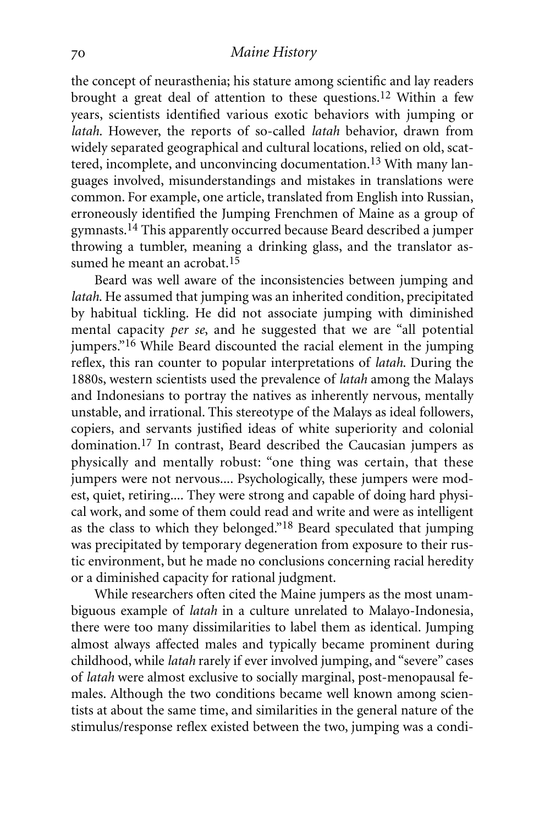the concept of neurasthenia; his stature among scientific and lay readers brought a great deal of attention to these questions.12 Within a few years, scientists identified various exotic behaviors with jumping or *latah*. However, the reports of so-called *latah* behavior, drawn from widely separated geographical and cultural locations, relied on old, scattered, incomplete, and unconvincing documentation.<sup>13</sup> With many languages involved, misunderstandings and mistakes in translations were common. For example, one article, translated from English into Russian, erroneously identified the Jumping Frenchmen of Maine as a group of gymnasts.14 This apparently occurred because Beard described a jumper throwing a tumbler, meaning a drinking glass, and the translator assumed he meant an acrobat.<sup>15</sup>

Beard was well aware of the inconsistencies between jumping and *latah*. He assumed that jumping was an inherited condition, precipitated by habitual tickling. He did not associate jumping with diminished mental capacity *per se*, and he suggested that we are "all potential jumpers."<sup>16</sup> While Beard discounted the racial element in the jumping reflex, this ran counter to popular interpretations of *latah*. During the 1880s, western scientists used the prevalence of *latah* among the Malays and Indonesians to portray the natives as inherently nervous, mentally unstable, and irrational. This stereotype of the Malays as ideal followers, copiers, and servants justified ideas of white superiority and colonial domination.17 In contrast, Beard described the Caucasian jumpers as physically and mentally robust: "one thing was certain, that these jumpers were not nervous.... Psychologically, these jumpers were modest, quiet, retiring.... They were strong and capable of doing hard physical work, and some of them could read and write and were as intelligent as the class to which they belonged."18 Beard speculated that jumping was precipitated by temporary degeneration from exposure to their rustic environment, but he made no conclusions concerning racial heredity or a diminished capacity for rational judgment.

While researchers often cited the Maine jumpers as the most unambiguous example of *latah* in a culture unrelated to Malayo-Indonesia, there were too many dissimilarities to label them as identical. Jumping almost always affected males and typically became prominent during childhood, while *latah* rarely if ever involved jumping, and "severe" cases of *latah* were almost exclusive to socially marginal, post-menopausal females. Although the two conditions became well known among scientists at about the same time, and similarities in the general nature of the stimulus/response reflex existed between the two, jumping was a condi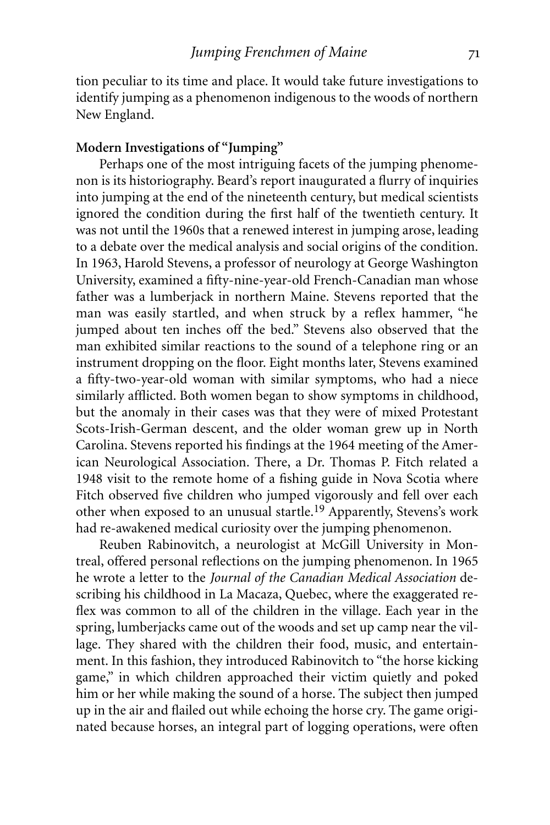tion peculiar to its time and place. It would take future investigations to identify jumping as a phenomenon indigenous to the woods of northern New England.

#### **Modern Investigations of "Jumping"**

Perhaps one of the most intriguing facets of the jumping phenomenon is its historiography. Beard's report inaugurated a flurry of inquiries into jumping at the end of the nineteenth century, but medical scientists ignored the condition during the first half of the twentieth century. It was not until the 1960s that a renewed interest in jumping arose, leading to a debate over the medical analysis and social origins of the condition. In 1963, Harold Stevens, a professor of neurology at George Washington University, examined a fifty-nine-year-old French-Canadian man whose father was a lumberjack in northern Maine. Stevens reported that the man was easily startled, and when struck by a reflex hammer, "he jumped about ten inches off the bed." Stevens also observed that the man exhibited similar reactions to the sound of a telephone ring or an instrument dropping on the floor. Eight months later, Stevens examined a fifty-two-year-old woman with similar symptoms, who had a niece similarly afflicted. Both women began to show symptoms in childhood, but the anomaly in their cases was that they were of mixed Protestant Scots-Irish-German descent, and the older woman grew up in North Carolina. Stevens reported his findings at the 1964 meeting of the American Neurological Association. There, a Dr. Thomas P. Fitch related a 1948 visit to the remote home of a fishing guide in Nova Scotia where Fitch observed five children who jumped vigorously and fell over each other when exposed to an unusual startle.19 Apparently, Stevens's work had re-awakened medical curiosity over the jumping phenomenon.

Reuben Rabinovitch, a neurologist at McGill University in Montreal, offered personal reflections on the jumping phenomenon. In 1965 he wrote a letter to the *Journal of the Canadian Medical Association* describing his childhood in La Macaza, Quebec, where the exaggerated reflex was common to all of the children in the village. Each year in the spring, lumberjacks came out of the woods and set up camp near the village. They shared with the children their food, music, and entertainment. In this fashion, they introduced Rabinovitch to "the horse kicking game," in which children approached their victim quietly and poked him or her while making the sound of a horse. The subject then jumped up in the air and flailed out while echoing the horse cry. The game originated because horses, an integral part of logging operations, were often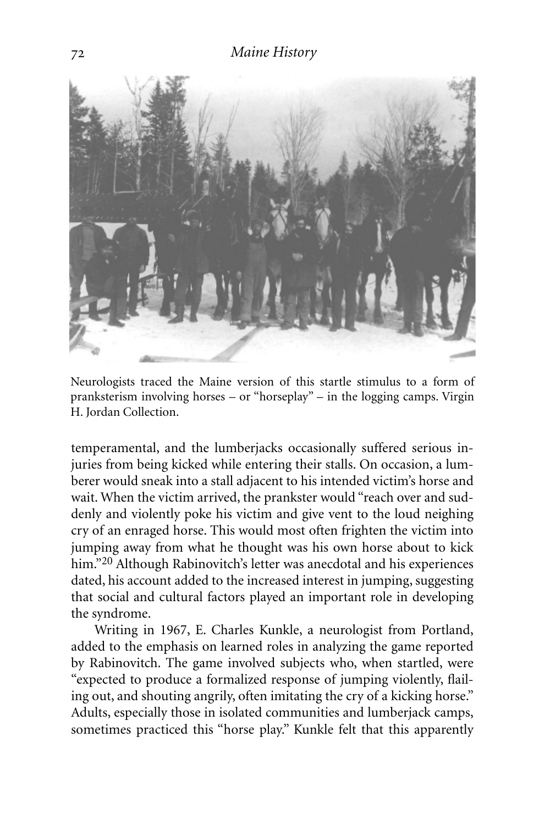

Neurologists traced the Maine version of this startle stimulus to a form of pranksterism involving horses – or "horseplay" – in the logging camps. Virgin H. Jordan Collection.

temperamental, and the lumberjacks occasionally suffered serious injuries from being kicked while entering their stalls. On occasion, a lumberer would sneak into a stall adjacent to his intended victim's horse and wait. When the victim arrived, the prankster would "reach over and suddenly and violently poke his victim and give vent to the loud neighing cry of an enraged horse. This would most often frighten the victim into jumping away from what he thought was his own horse about to kick him."<sup>20</sup> Although Rabinovitch's letter was anecdotal and his experiences dated, his account added to the increased interest in jumping, suggesting that social and cultural factors played an important role in developing the syndrome.

Writing in 1967, E. Charles Kunkle, a neurologist from Portland, added to the emphasis on learned roles in analyzing the game reported by Rabinovitch. The game involved subjects who, when startled, were "expected to produce a formalized response of jumping violently, flailing out, and shouting angrily, often imitating the cry of a kicking horse." Adults, especially those in isolated communities and lumberjack camps, sometimes practiced this "horse play." Kunkle felt that this apparently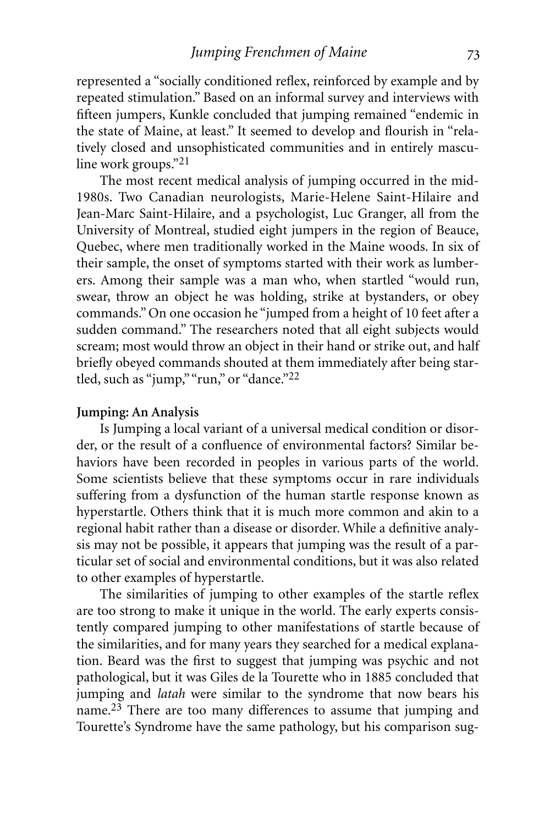represented a "socially conditioned reflex, reinforced by example and by repeated stimulation." Based on an informal survey and interviews with fifteen jumpers, Kunkle concluded that jumping remained "endemic in the state of Maine, at least." It seemed to develop and flourish in "relatively closed and unsophisticated communities and in entirely masculine work groups."21

The most recent medical analysis of jumping occurred in the mid-1980s. Two Canadian neurologists, Marie-Helene Saint-Hilaire and Jean-Marc Saint-Hilaire, and a psychologist, Luc Granger, all from the University of Montreal, studied eight jumpers in the region of Beauce, Quebec, where men traditionally worked in the Maine woods. In six of their sample, the onset of symptoms started with their work as lumberers. Among their sample was a man who, when startled "would run, swear, throw an object he was holding, strike at bystanders, or obey commands." On one occasion he "jumped from a height of 10 feet after a sudden command." The researchers noted that all eight subjects would scream; most would throw an object in their hand or strike out, and half briefly obeyed commands shouted at them immediately after being startled, such as "jump," "run," or "dance."<sup>22</sup>

#### **Jumping: An Analysis**

Is Jumping a local variant of a universal medical condition or disorder, or the result of a confluence of environmental factors? Similar behaviors have been recorded in peoples in various parts of the world. Some scientists believe that these symptoms occur in rare individuals suffering from a dysfunction of the human startle response known as hyperstartle. Others think that it is much more common and akin to a regional habit rather than a disease or disorder. While a definitive analysis may not be possible, it appears that jumping was the result of a particular set of social and environmental conditions, but it was also related to other examples of hyperstartle.

The similarities of jumping to other examples of the startle reflex are too strong to make it unique in the world. The early experts consistently compared jumping to other manifestations of startle because of the similarities, and for many years they searched for a medical explanation. Beard was the first to suggest that jumping was psychic and not pathological, but it was Giles de la Tourette who in 1885 concluded that jumping and *latah* were similar to the syndrome that now bears his name.23 There are too many differences to assume that jumping and Tourette's Syndrome have the same pathology, but his comparison sug-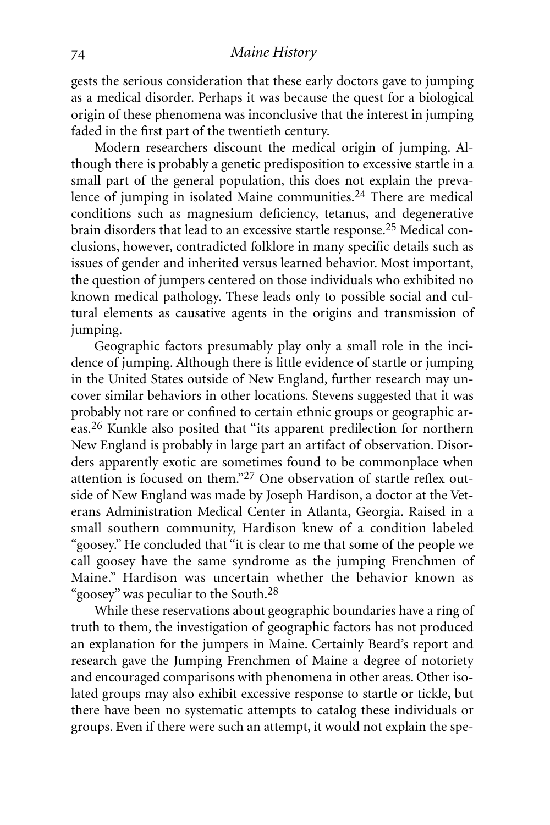#### *Maine History*

gests the serious consideration that these early doctors gave to jumping as a medical disorder. Perhaps it was because the quest for a biological origin of these phenomena was inconclusive that the interest in jumping faded in the first part of the twentieth century.

Modern researchers discount the medical origin of jumping. Although there is probably a genetic predisposition to excessive startle in a small part of the general population, this does not explain the prevalence of jumping in isolated Maine communities.<sup>24</sup> There are medical conditions such as magnesium deficiency, tetanus, and degenerative brain disorders that lead to an excessive startle response.25 Medical conclusions, however, contradicted folklore in many specific details such as issues of gender and inherited versus learned behavior. Most important, the question of jumpers centered on those individuals who exhibited no known medical pathology. These leads only to possible social and cultural elements as causative agents in the origins and transmission of jumping.

Geographic factors presumably play only a small role in the incidence of jumping. Although there is little evidence of startle or jumping in the United States outside of New England, further research may uncover similar behaviors in other locations. Stevens suggested that it was probably not rare or confined to certain ethnic groups or geographic areas.26 Kunkle also posited that "its apparent predilection for northern New England is probably in large part an artifact of observation. Disorders apparently exotic are sometimes found to be commonplace when attention is focused on them."27 One observation of startle reflex outside of New England was made by Joseph Hardison, a doctor at the Veterans Administration Medical Center in Atlanta, Georgia. Raised in a small southern community, Hardison knew of a condition labeled "goosey." He concluded that "it is clear to me that some of the people we call goosey have the same syndrome as the jumping Frenchmen of Maine." Hardison was uncertain whether the behavior known as "goosey" was peculiar to the South.28

While these reservations about geographic boundaries have a ring of truth to them, the investigation of geographic factors has not produced an explanation for the jumpers in Maine. Certainly Beard's report and research gave the Jumping Frenchmen of Maine a degree of notoriety and encouraged comparisons with phenomena in other areas. Other isolated groups may also exhibit excessive response to startle or tickle, but there have been no systematic attempts to catalog these individuals or groups. Even if there were such an attempt, it would not explain the spe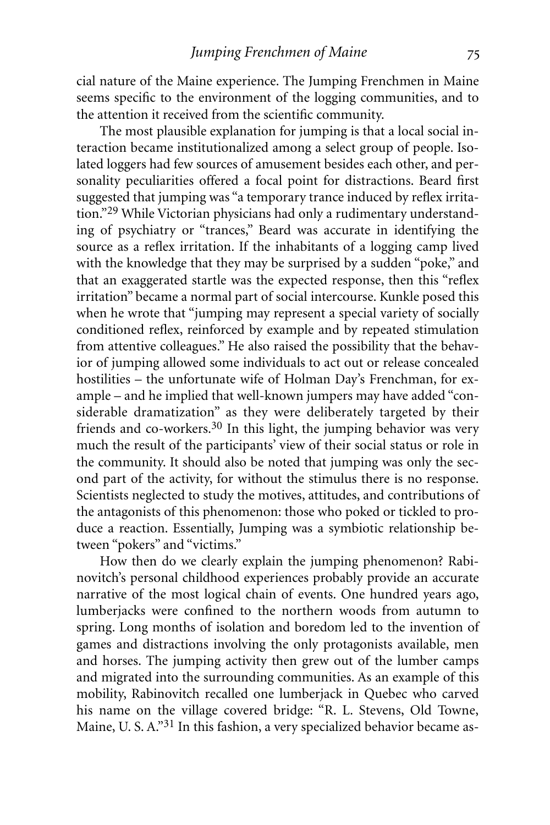cial nature of the Maine experience. The Jumping Frenchmen in Maine seems specific to the environment of the logging communities, and to the attention it received from the scientific community.

The most plausible explanation for jumping is that a local social interaction became institutionalized among a select group of people. Isolated loggers had few sources of amusement besides each other, and personality peculiarities offered a focal point for distractions. Beard first suggested that jumping was "a temporary trance induced by reflex irritation."29 While Victorian physicians had only a rudimentary understanding of psychiatry or "trances," Beard was accurate in identifying the source as a reflex irritation. If the inhabitants of a logging camp lived with the knowledge that they may be surprised by a sudden "poke," and that an exaggerated startle was the expected response, then this "reflex irritation" became a normal part of social intercourse. Kunkle posed this when he wrote that "jumping may represent a special variety of socially conditioned reflex, reinforced by example and by repeated stimulation from attentive colleagues." He also raised the possibility that the behavior of jumping allowed some individuals to act out or release concealed hostilities – the unfortunate wife of Holman Day's Frenchman, for example – and he implied that well-known jumpers may have added "considerable dramatization" as they were deliberately targeted by their friends and co-workers.30 In this light, the jumping behavior was very much the result of the participants' view of their social status or role in the community. It should also be noted that jumping was only the second part of the activity, for without the stimulus there is no response. Scientists neglected to study the motives, attitudes, and contributions of the antagonists of this phenomenon: those who poked or tickled to produce a reaction. Essentially, Jumping was a symbiotic relationship between "pokers" and "victims."

How then do we clearly explain the jumping phenomenon? Rabinovitch's personal childhood experiences probably provide an accurate narrative of the most logical chain of events. One hundred years ago, lumberjacks were confined to the northern woods from autumn to spring. Long months of isolation and boredom led to the invention of games and distractions involving the only protagonists available, men and horses. The jumping activity then grew out of the lumber camps and migrated into the surrounding communities. As an example of this mobility, Rabinovitch recalled one lumberjack in Quebec who carved his name on the village covered bridge: "R. L. Stevens, Old Towne, Maine, U. S. A."31 In this fashion, a very specialized behavior became as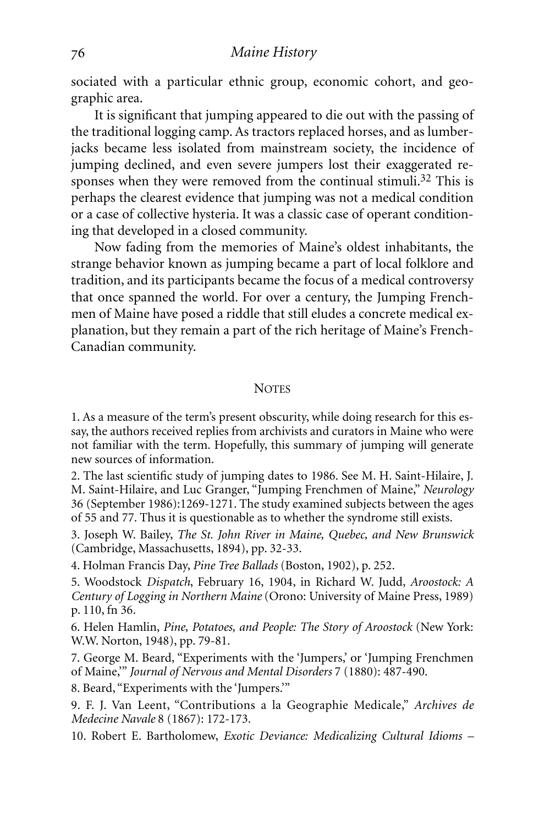sociated with a particular ethnic group, economic cohort, and geographic area.

It is significant that jumping appeared to die out with the passing of the traditional logging camp. As tractors replaced horses, and as lumberjacks became less isolated from mainstream society, the incidence of jumping declined, and even severe jumpers lost their exaggerated responses when they were removed from the continual stimuli.<sup>32</sup> This is perhaps the clearest evidence that jumping was not a medical condition or a case of collective hysteria. It was a classic case of operant conditioning that developed in a closed community.

Now fading from the memories of Maine's oldest inhabitants, the strange behavior known as jumping became a part of local folklore and tradition, and its participants became the focus of a medical controversy that once spanned the world. For over a century, the Jumping Frenchmen of Maine have posed a riddle that still eludes a concrete medical explanation, but they remain a part of the rich heritage of Maine's French-Canadian community.

#### **NOTES**

1. As a measure of the term's present obscurity, while doing research for this essay, the authors received replies from archivists and curators in Maine who were not familiar with the term. Hopefully, this summary of jumping will generate new sources of information.

2. The last scientific study of jumping dates to 1986. See M. H. Saint-Hilaire, J. M. Saint-Hilaire, and Luc Granger, "Jumping Frenchmen of Maine," *Neurology* 36 (September 1986):1269-1271. The study examined subjects between the ages of 55 and 77. Thus it is questionable as to whether the syndrome still exists.

3. Joseph W. Bailey, *The St. John River in Maine, Quebec, and New Brunswick* (Cambridge, Massachusetts, 1894), pp. 32-33.

4. Holman Francis Day, *Pine Tree Ballads* (Boston, 1902), p. 252.

5. Woodstock *Dispatch*, February 16, 1904, in Richard W. Judd, *Aroostock: A Century of Logging in Northern Maine* (Orono: University of Maine Press, 1989) p. 110, fn 36.

6. Helen Hamlin, *Pine, Potatoes, and People: The Story of Aroostock* (New York: W.W. Norton, 1948), pp. 79-81.

7. George M. Beard, "Experiments with the 'Jumpers,' or 'Jumping Frenchmen of Maine,'" *Journal of Nervous and Mental Disorders* 7 (1880): 487-490.

8. Beard, "Experiments with the 'Jumpers.'"

9. F. J. Van Leent, "Contributions a la Geographie Medicale," *Archives de Medecine Navale* 8 (1867): 172-173.

10. Robert E. Bartholomew, *Exotic Deviance: Medicalizing Cultural Idioms –*